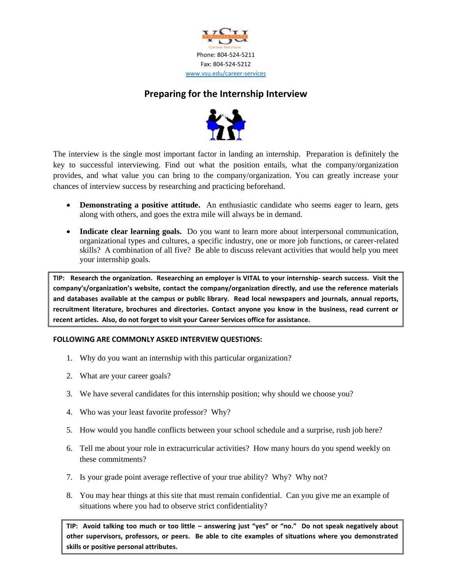

## **Preparing for the Internship Interview**



The interview is the single most important factor in landing an internship. Preparation is definitely the key to successful interviewing. Find out what the position entails, what the company/organization provides, and what value you can bring to the company/organization. You can greatly increase your chances of interview success by researching and practicing beforehand.

- **Demonstrating a positive attitude.** An enthusiastic candidate who seems eager to learn, gets along with others, and goes the extra mile will always be in demand.
- **Indicate clear learning goals.** Do you want to learn more about interpersonal communication, organizational types and cultures, a specific industry, one or more job functions, or career-related skills? A combination of all five? Be able to discuss relevant activities that would help you meet your internship goals.

**TIP: Research the organization. Researching an employer is VITAL to your internship- search success. Visit the company's/organization's website, contact the company/organization directly, and use the reference materials and databases available at the campus or public library. Read local newspapers and journals, annual reports, recruitment literature, brochures and directories. Contact anyone you know in the business, read current or recent articles. Also, do not forget to visit your Career Services office for assistance.**

## **FOLLOWING ARE COMMONLY ASKED INTERVIEW QUESTIONS:**

- 1. Why do you want an internship with this particular organization?
- 2. What are your career goals?
- 3. We have several candidates for this internship position; why should we choose you?
- 4. Who was your least favorite professor? Why?
- 5. How would you handle conflicts between your school schedule and a surprise, rush job here?
- 6. Tell me about your role in extracurricular activities? How many hours do you spend weekly on these commitments?
- 7. Is your grade point average reflective of your true ability? Why? Why not?
- 8. You may hear things at this site that must remain confidential. Can you give me an example of situations where you had to observe strict confidentiality?

**TIP: Avoid talking too much or too little – answering just "yes" or "no." Do not speak negatively about other supervisors, professors, or peers. Be able to cite examples of situations where you demonstrated skills or positive personal attributes.**